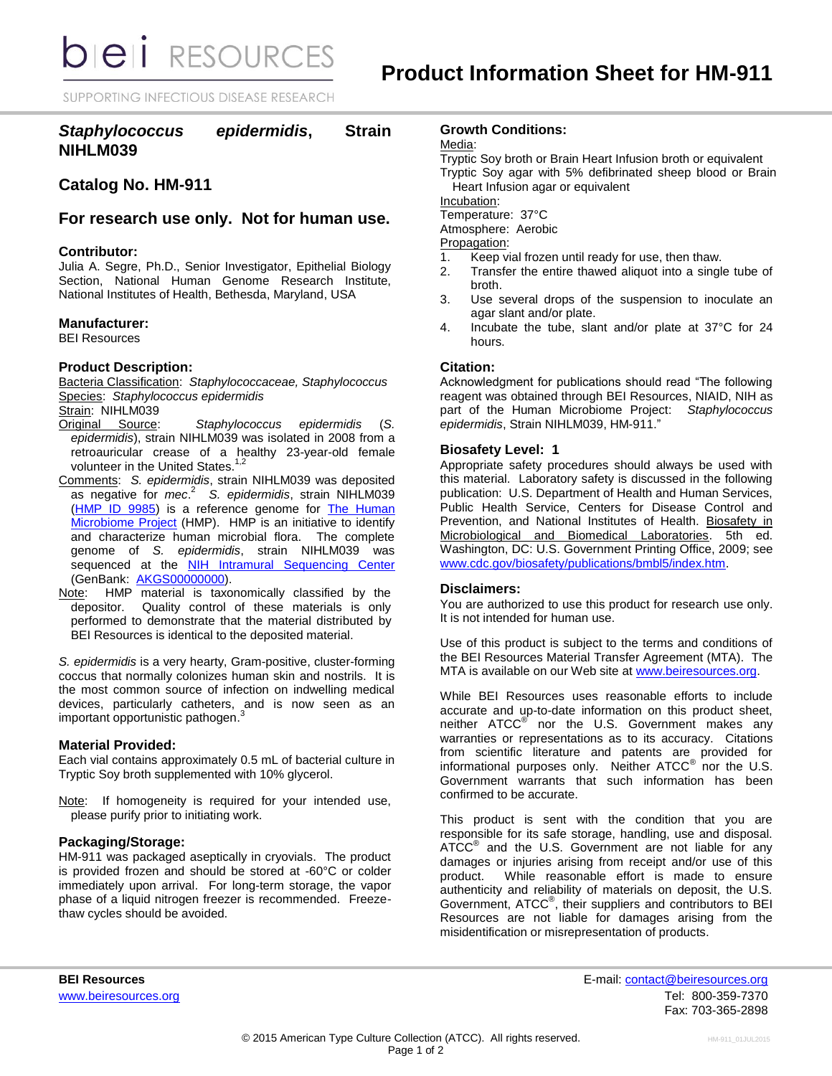**bieli** RESOURCES

SUPPORTING INFECTIOUS DISEASE RESEARCH

## *Staphylococcus epidermidis***, Strain NIHLM039**

# **Catalog No. HM-911**

## **For research use only. Not for human use.**

### **Contributor:**

Julia A. Segre, Ph.D., Senior Investigator, Epithelial Biology Section, National Human Genome Research Institute, National Institutes of Health, Bethesda, Maryland, USA

### **Manufacturer:**

BEI Resources

## **Product Description:**

Bacteria Classification: *Staphylococcaceae, Staphylococcus* Species: *Staphylococcus epidermidis*

Strain: NIHLM039<br>Original Source:

- Staphylococcus epidermidis (S. *epidermidis*), strain NIHLM039 was isolated in 2008 from a retroauricular crease of a healthy 23-year-old female volunteer in the United States.<sup>1,2</sup>
- Comments: *S. epidermidis*, strain NIHLM039 was deposited as negative for *mec*. 2 *S. epidermidis*, strain NIHLM039 [\(HMP ID 9985\)](http://www.hmpdacc.org/catalog/grid.php?dataset=genomic&hmp_id=9985) is a reference genome for The Human [Microbiome Project](http://nihroadmap.nih.gov/hmp/) (HMP). HMP is an initiative to identify and characterize human microbial flora. The complete genome of *S. epidermidis*, strain NIHLM039 was sequenced at the [NIH Intramural Sequencing Center](http://www.nisc.nih.gov/) (GenBank: [AKGS00000000\)](http://www.ncbi.nlm.nih.gov/nuccore/NZ_AKGS00000000.1).
- Note: HMP material is taxonomically classified by the depositor. Quality control of these materials is only performed to demonstrate that the material distributed by BEI Resources is identical to the deposited material.

*S. epidermidis* is a very hearty, Gram-positive, cluster-forming coccus that normally colonizes human skin and nostrils. It is the most common source of infection on indwelling medical devices, particularly catheters, and is now seen as an important opportunistic pathogen. 3

#### **Material Provided:**

Each vial contains approximately 0.5 mL of bacterial culture in Tryptic Soy broth supplemented with 10% glycerol.

Note: If homogeneity is required for your intended use, please purify prior to initiating work.

#### **Packaging/Storage:**

HM-911 was packaged aseptically in cryovials. The product is provided frozen and should be stored at -60°C or colder immediately upon arrival. For long-term storage, the vapor phase of a liquid nitrogen freezer is recommended. Freezethaw cycles should be avoided.

## **Growth Conditions:**

Media:

Tryptic Soy broth or Brain Heart Infusion broth or equivalent Tryptic Soy agar with 5% defibrinated sheep blood or Brain Heart Infusion agar or equivalent

Incubation:

Temperature: 37°C

Atmosphere: Aerobic

Propagation:

- 1. Keep vial frozen until ready for use, then thaw.
- 2. Transfer the entire thawed aliquot into a single tube of broth.
- 3. Use several drops of the suspension to inoculate an agar slant and/or plate.
- 4. Incubate the tube, slant and/or plate at 37°C for 24 hours.

## **Citation:**

Acknowledgment for publications should read "The following reagent was obtained through BEI Resources, NIAID, NIH as part of the Human Microbiome Project: *Staphylococcus epidermidis*, Strain NIHLM039, HM-911."

#### **Biosafety Level: 1**

Appropriate safety procedures should always be used with this material. Laboratory safety is discussed in the following publication: U.S. Department of Health and Human Services, Public Health Service, Centers for Disease Control and Prevention, and National Institutes of Health. Biosafety in Microbiological and Biomedical Laboratories. 5th ed. Washington, DC: U.S. Government Printing Office, 2009; see [www.cdc.gov/biosafety/publications/bmbl5/index.htm.](http://www.cdc.gov/biosafety/publications/bmbl5/index.htm)

### **Disclaimers:**

You are authorized to use this product for research use only. It is not intended for human use.

Use of this product is subject to the terms and conditions of the BEI Resources Material Transfer Agreement (MTA). The MTA is available on our Web site at [www.beiresources.org.](http://www.beiresources.org/)

While BEI Resources uses reasonable efforts to include accurate and up-to-date information on this product sheet, neither ATCC<sup>®</sup> nor the U.S. Government makes any warranties or representations as to its accuracy. Citations from scientific literature and patents are provided for informational purposes only. Neither  $\tt{ATCC}^{\circledR}$  nor the U.S. Government warrants that such information has been confirmed to be accurate.

This product is sent with the condition that you are responsible for its safe storage, handling, use and disposal. ATCC<sup>®</sup> and the U.S. Government are not liable for any damages or injuries arising from receipt and/or use of this product. While reasonable effort is made to ensure authenticity and reliability of materials on deposit, the U.S. Government, ATCC® , their suppliers and contributors to BEI Resources are not liable for damages arising from the misidentification or misrepresentation of products.

**BEI Resources** E-mail: contact@beiresources.org www.beiresources.orgTel: 800-359-7370 Fax: 703-365-2898